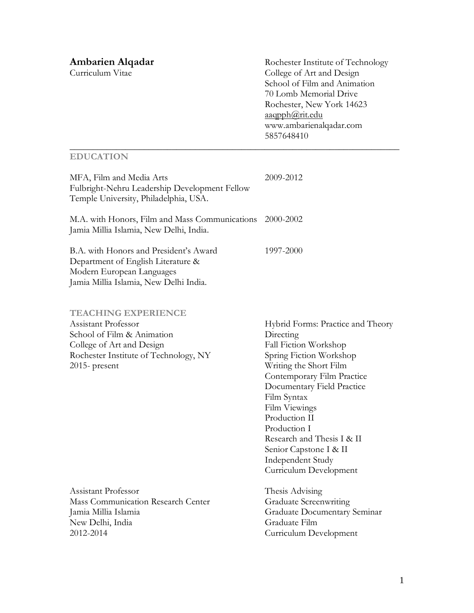**Ambarien Alqadar** Rochester Institute of Technology<br>
Curriculum Vitae College of Art and Design Curriculum Vitae College of Art and Design School of Film and Animation 70 Lomb Memorial Drive Rochester, New York 14623 [aaqpph@rit.edu](mailto:aaqpph@rit.edu) www.ambarienalqadar.com 5857648410

# **EDUCATION**

| MFA, Film and Media Arts<br>Fulbright-Nehru Leadership Development Fellow<br>Temple University, Philadelphia, USA.                                                        | 2009-2012                                                                                                                                                                                                                                                                                                                                                        |
|---------------------------------------------------------------------------------------------------------------------------------------------------------------------------|------------------------------------------------------------------------------------------------------------------------------------------------------------------------------------------------------------------------------------------------------------------------------------------------------------------------------------------------------------------|
| M.A. with Honors, Film and Mass Communications 2000-2002<br>Jamia Millia Islamia, New Delhi, India.                                                                       |                                                                                                                                                                                                                                                                                                                                                                  |
| B.A. with Honors and President's Award<br>Department of English Literature &<br>Modern European Languages<br>Jamia Millia Islamia, New Delhi India.                       | 1997-2000                                                                                                                                                                                                                                                                                                                                                        |
| <b>TEACHING EXPERIENCE</b><br>Assistant Professor<br>School of Film & Animation<br>College of Art and Design<br>Rochester Institute of Technology, NY<br>$2015$ - present | Hybrid Forms: Practice and Theory<br>Directing<br>Fall Fiction Workshop<br>Spring Fiction Workshop<br>Writing the Short Film<br>Contemporary Film Practice<br>Documentary Field Practice<br>Film Syntax<br>Film Viewings<br>Production II<br>Production I<br>Research and Thesis I & II<br>Senior Capstone I & II<br>Independent Study<br>Curriculum Development |
| Assistant Professor<br>Mass Communication Research Center<br>Jamia Millia Islamia<br>New Delhi, India<br>2012-2014                                                        | Thesis Advising<br><b>Graduate Screenwriting</b><br>Graduate Documentary Seminar<br>Graduate Film<br>Curriculum Development                                                                                                                                                                                                                                      |

\_\_\_\_\_\_\_\_\_\_\_\_\_\_\_\_\_\_\_\_\_\_\_\_\_\_\_\_\_\_\_\_\_\_\_\_\_\_\_\_\_\_\_\_\_\_\_\_\_\_\_\_\_\_\_\_\_\_\_\_\_\_\_\_\_\_\_\_\_\_\_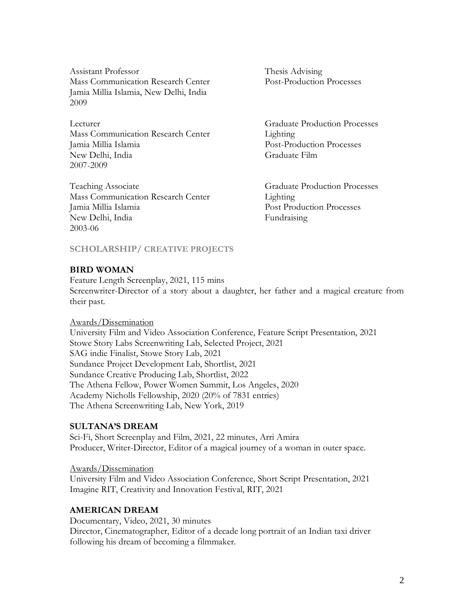Assistant Professor Thesis Advising Mass Communication Research Center Post-Production Processes Jamia Millia Islamia, New Delhi, India 2009

Lecturer Graduate Production Processes Mass Communication Research Center Lighting Jamia Millia Islamia Post-Production Processes New Delhi, India Graduate Film 2007-2009

Teaching Associate Graduate Production Processes Mass Communication Research Center Lighting Jamia Millia Islamia Post Production Processes New Delhi, India Fundraising 2003-06

## **SCHOLARSHIP/ CREATIVE PROJECTS**

## **BIRD WOMAN**

Feature Length Screenplay, 2021, 115 mins Screenwriter-Director of a story about a daughter, her father and a magical creature from their past.

#### Awards/Dissemination

University Film and Video Association Conference, Feature Script Presentation, 2021 Stowe Story Labs Screenwriting Lab, Selected Project, 2021 SAG indie Finalist, Stowe Story Lab, 2021 Sundance Project Development Lab, Shortlist, 2021 Sundance Creative Producing Lab, Shortlist, 2022 The Athena Fellow, Power Women Summit, Los Angeles, 2020 Academy Nicholls Fellowship, 2020 (20% of 7831 entries) The Athena Screenwriting Lab, New York, 2019

## **SULTANA'S DREAM**

Sci-Fi, Short Screenplay and Film, 2021, 22 minutes, Arri Amira Producer, Writer-Director, Editor of a magical journey of a woman in outer space.

Awards/Dissemination University Film and Video Association Conference, Short Script Presentation, 2021 Imagine RIT, Creativity and Innovation Festival, RIT, 2021

## **AMERICAN DREAM**

Documentary, Video, 2021, 30 minutes Director, Cinematographer, Editor of a decade long portrait of an Indian taxi driver following his dream of becoming a filmmaker.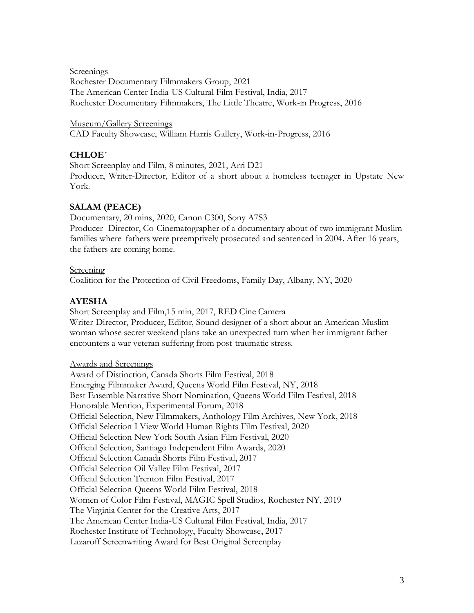**Screenings** 

Rochester Documentary Filmmakers Group, 2021 The American Center India-US Cultural Film Festival, India, 2017 Rochester Documentary Filmmakers, The Little Theatre, Work-in Progress, 2016

Museum/Gallery Screenings CAD Faculty Showcase, William Harris Gallery, Work-in-Progress, 2016

# **CHLOE´**

Short Screenplay and Film, 8 minutes, 2021, Arri D21 Producer, Writer-Director, Editor of a short about a homeless teenager in Upstate New York.

# **SALAM (PEACE)**

Documentary, 20 mins, 2020, Canon C300, Sony A7S3 Producer- Director, Co-Cinematographer of a documentary about of two immigrant Muslim families where fathers were preemptively prosecuted and sentenced in 2004. After 16 years, the fathers are coming home.

## Screening

Coalition for the Protection of Civil Freedoms, Family Day, Albany, NY, 2020

# **AYESHA**

Short Screenplay and Film,15 min, 2017, RED Cine Camera Writer-Director, Producer, Editor, Sound designer of a short about an American Muslim woman whose secret weekend plans take an unexpected turn when her immigrant father encounters a war veteran suffering from post-traumatic stress.

## Awards and Screenings

Award of Distinction, Canada Shorts Film Festival, 2018 Emerging Filmmaker Award, Queens World Film Festival, NY, 2018 Best Ensemble Narrative Short Nomination, Queens World Film Festival, 2018 Honorable Mention, Experimental Forum, 2018 Official Selection, New Filmmakers, Anthology Film Archives, New York, 2018 Official Selection I View World Human Rights Film Festival, 2020 Official Selection New York South Asian Film Festival, 2020 Official Selection, Santiago Independent Film Awards, 2020 Official Selection Canada Shorts Film Festival, 2017 Official Selection Oil Valley Film Festival, 2017 Official Selection Trenton Film Festival, 2017 Official Selection Queens World Film Festival, 2018 Women of Color Film Festival, MAGIC Spell Studios, Rochester NY, 2019 The Virginia Center for the Creative Arts, 2017 The American Center India-US Cultural Film Festival, India, 2017 Rochester Institute of Technology, Faculty Showcase, 2017 Lazaroff Screenwriting Award for Best Original Screenplay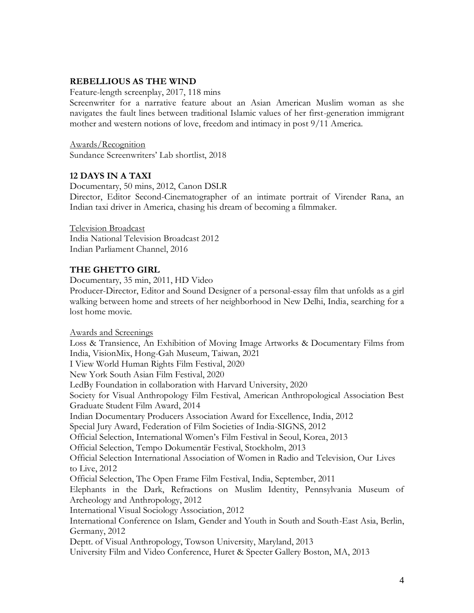## **REBELLIOUS AS THE WIND**

Feature-length screenplay, 2017, 118 mins

Screenwriter for a narrative feature about an Asian American Muslim woman as she navigates the fault lines between traditional Islamic values of her first-generation immigrant mother and western notions of love, freedom and intimacy in post 9/11 America.

Awards/Recognition Sundance Screenwriters' Lab shortlist, 2018

## **12 DAYS IN A TAXI**

Documentary, 50 mins, 2012, Canon DSLR Director, Editor Second-Cinematographer of an intimate portrait of Virender Rana, an Indian taxi driver in America, chasing his dream of becoming a filmmaker.

Television Broadcast India National Television Broadcast 2012 Indian Parliament Channel, 2016

## **THE GHETTO GIRL**

Documentary, 35 min, 2011, HD Video

Producer-Director, Editor and Sound Designer of a personal-essay film that unfolds as a girl walking between home and streets of her neighborhood in New Delhi, India, searching for a lost home movie.

#### Awards and Screenings

Loss & Transience, An Exhibition of Moving Image Artworks & Documentary Films from India, VisionMix, Hong-Gah Museum, Taiwan, 2021 I View World Human Rights Film Festival, 2020 New York South Asian Film Festival, 2020 LedBy Foundation in collaboration with Harvard University, 2020 Society for Visual Anthropology Film Festival, American Anthropological Association Best Graduate Student Film Award, 2014 Indian Documentary Producers Association Award for Excellence, India, 2012 Special Jury Award, Federation of Film Societies of India-SIGNS, 2012 Official Selection, International Women's Film Festival in Seoul, Korea, 2013 Official Selection, Tempo Dokumentär Festival, Stockholm, 2013 Official Selection International Association of Women in Radio and Television, Our Lives to Live, 2012 Official Selection, The Open Frame Film Festival, India, September, 2011 Elephants in the Dark, Refractions on Muslim Identity, Pennsylvania Museum of Archeology and Anthropology, 2012 International Visual Sociology Association, 2012 International Conference on Islam, Gender and Youth in South and South-East Asia, Berlin, Germany, 2012 Deptt. of Visual Anthropology, Towson University, Maryland, 2013 University Film and Video Conference, Huret & Specter Gallery Boston, MA, 2013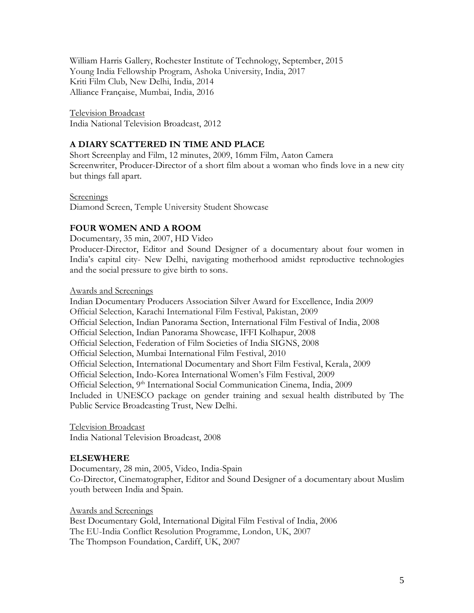William Harris Gallery, Rochester Institute of Technology, September, 2015 Young India Fellowship Program, Ashoka University, India, 2017 Kriti Film Club, New Delhi, India, 2014 Alliance Française, Mumbai, India, 2016

Television Broadcast India National Television Broadcast, 2012

## **A DIARY SCATTERED IN TIME AND PLACE**

Short Screenplay and Film, 12 minutes, 2009, 16mm Film, Aaton Camera Screenwriter, Producer-Director of a short film about a woman who finds love in a new city but things fall apart.

**Screenings** 

Diamond Screen, Temple University Student Showcase

## **FOUR WOMEN AND A ROOM**

Documentary, 35 min, 2007, HD Video

Producer-Director, Editor and Sound Designer of a documentary about four women in India's capital city- New Delhi, navigating motherhood amidst reproductive technologies and the social pressure to give birth to sons.

Awards and Screenings

Indian Documentary Producers Association Silver Award for Excellence, India 2009 Official Selection, Karachi International Film Festival, Pakistan, 2009 Official Selection, Indian Panorama Section, International Film Festival of India, 2008 Official Selection, Indian Panorama Showcase, IFFI Kolhapur, 2008 Official Selection, Federation of Film Societies of India SIGNS, 2008 Official Selection, Mumbai International Film Festival, 2010 Official Selection, International Documentary and Short Film Festival, Kerala, 2009 Official Selection, Indo-Korea International Women's Film Festival, 2009 Official Selection, 9<sup>th</sup> International Social Communication Cinema, India, 2009 Included in UNESCO package on gender training and sexual health distributed by The Public Service Broadcasting Trust, New Delhi.

Television Broadcast India National Television Broadcast, 2008

## **ELSEWHERE**

Documentary, 28 min, 2005, Video, India-Spain Co-Director, Cinematographer, Editor and Sound Designer of a documentary about Muslim youth between India and Spain.

Awards and Screenings Best Documentary Gold, International Digital Film Festival of India, 2006 The EU-India Conflict Resolution Programme, London, UK, 2007 The Thompson Foundation, Cardiff, UK, 2007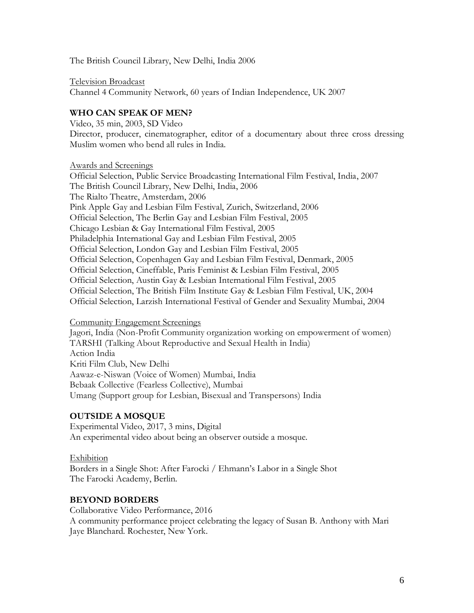The British Council Library, New Delhi, India 2006

Television Broadcast Channel 4 Community Network, 60 years of Indian Independence, UK 2007

# **WHO CAN SPEAK OF MEN?**

Video, 35 min, 2003, SD Video Director, producer, cinematographer, editor of a documentary about three cross dressing Muslim women who bend all rules in India.

Awards and Screenings

Official Selection, Public Service Broadcasting International Film Festival, India, 2007 The British Council Library, New Delhi, India, 2006 The Rialto Theatre, Amsterdam, 2006 Pink Apple Gay and Lesbian Film Festival, Zurich, Switzerland, 2006 Official Selection, The Berlin Gay and Lesbian Film Festival, 2005 Chicago Lesbian & Gay International Film Festival, 2005 Philadelphia International Gay and Lesbian Film Festival, 2005 Official Selection, London Gay and Lesbian Film Festival, 2005 Official Selection, Copenhagen Gay and Lesbian Film Festival, Denmark, 2005 Official Selection, Cineffable, Paris Feminist & Lesbian Film Festival, 2005 Official Selection, Austin Gay & Lesbian International Film Festival, 2005 Official Selection, The British Film Institute Gay & Lesbian Film Festival, UK, 2004 Official Selection, Larzish International Festival of Gender and Sexuality Mumbai, 2004

## Community Engagement Screenings

Jagori, India (Non-Profit Community organization working on empowerment of women) TARSHI (Talking About Reproductive and Sexual Health in India) Action India Kriti Film Club, New Delhi Aawaz-e-Niswan (Voice of Women) Mumbai, India Bebaak Collective (Fearless Collective), Mumbai Umang (Support group for Lesbian, Bisexual and Transpersons) India

# **OUTSIDE A MOSQUE**

Experimental Video, 2017, 3 mins, Digital An experimental video about being an observer outside a mosque.

# Exhibition

Borders in a Single Shot: After Farocki / Ehmann's Labor in a Single Shot The Farocki Academy, Berlin.

# **BEYOND BORDERS**

Collaborative Video Performance, 2016 A community performance project celebrating the legacy of Susan B. Anthony with Mari Jaye Blanchard. Rochester, New York.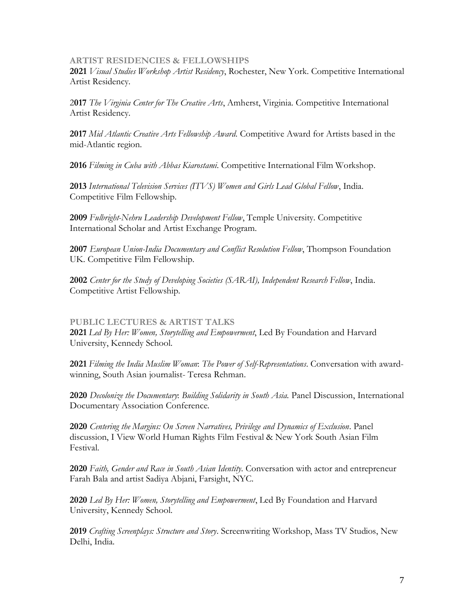## **ARTIST RESIDENCIES & FELLOWSHIPS**

**2021** *Visual Studies Workshop Artist Residency*, Rochester, New York. Competitive International Artist Residency.

2**017** *The Virginia Center for The Creative Arts*, Amherst, Virginia. Competitive International Artist Residency.

**2017** *Mid Atlantic Creative Arts Fellowship Award*. Competitive Award for Artists based in the mid-Atlantic region.

**2016** *Filming in Cuba with Abbas Kiarostami*. Competitive International Film Workshop.

**2013** *International Television Services (ITVS) Women and Girls Lead Global Fellow*, India. Competitive Film Fellowship.

**2009** *Fulbright-Nehru Leadership Development Fellow*, Temple University. Competitive International Scholar and Artist Exchange Program.

**2007** *European Union-India Documentary and Conflict Resolution Fellow*, Thompson Foundation UK. Competitive Film Fellowship.

**2002** *Center for the Study of Developing Societies (SARAI), Independent Research Fellow*, India. Competitive Artist Fellowship.

## **PUBLIC LECTURES & ARTIST TALKS**

**2021** *Led By Her: Women, Storytelling and Empowerment*, Led By Foundation and Harvard University, Kennedy School.

**2021** *Filming the India Muslim Woman*: *The Power of Self-Representations*. Conversation with awardwinning, South Asian journalist- Teresa Rehman.

**2020** *Decolonize the Documentary*: *Building Solidarity in South Asia.* Panel Discussion, International Documentary Association Conference.

**2020** *Centering the Margins: On Screen Narratives, Privilege and Dynamics of Exclusion*. Panel discussion, I View World Human Rights Film Festival & New York South Asian Film Festival.

**2020** *Faith, Gender and Race in South Asian Identity*. Conversation with actor and entrepreneur Farah Bala and artist Sadiya Abjani, Farsight, NYC.

**2020** *Led By Her: Women, Storytelling and Empowerment*, Led By Foundation and Harvard University, Kennedy School.

**2019** *Crafting Screenplays: Structure and Story*. Screenwriting Workshop, Mass TV Studios, New Delhi, India.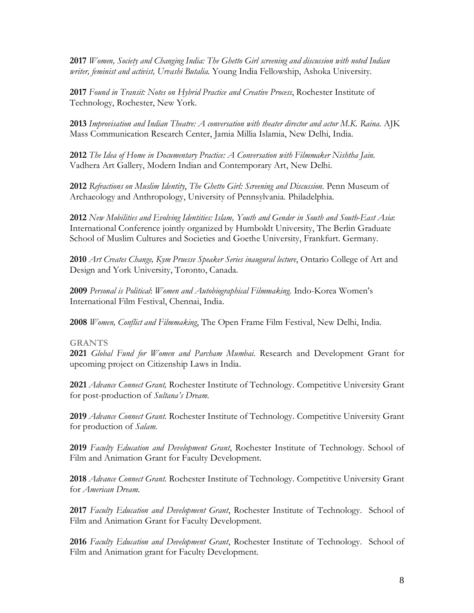**2017** *Women, Society and Changing India: The Ghetto Girl screening and discussion with noted Indian writer, feminist and activist, Urvashi Butalia.* Young India Fellowship, Ashoka University.

**2017** *Found in Transit: Notes on Hybrid Practice and Creative Process*, Rochester Institute of Technology, Rochester, New York.

**2013** *Improvisation and Indian Theatre: A conversation with theater director and actor M.K. Raina.* AJK Mass Communication Research Center, Jamia Millia Islamia, New Delhi, India.

**2012** *The Idea of Home in Documentary Practice: A Conversation with Filmmaker Nishtha Jain.* Vadhera Art Gallery, Modern Indian and Contemporary Art, New Delhi.

**2012** *Refractions on Muslim Identity*, *The Ghetto Girl: Screening and Discussion.* Penn Museum of Archaeology and Anthropology, University of Pennsylvania. Philadelphia.

**2012** *New Mobilities and Evolving Identities: Islam, Youth and Gender in South and South-East Asia*: International Conference jointly organized by Humboldt University, The Berlin Graduate School of Muslim Cultures and Societies and Goethe University, Frankfurt. Germany.

**2010** *Art Creates Change, Kym Pruesse Speaker Series inaugural lecture*, Ontario College of Art and Design and York University, Toronto, Canada.

**2009** *Personal is Political*: *Women and Autobiographical Filmmaking.* Indo-Korea Women's International Film Festival, Chennai, India.

**2008** *Women, Conflict and Filmmaking*, The Open Frame Film Festival, New Delhi, India.

## **GRANTS**

**2021** *Global Fund for Women and Parcham Mumbai*. Research and Development Grant for upcoming project on Citizenship Laws in India.

**2021** *Advance Connect Grant,* Rochester Institute of Technology. Competitive University Grant for post-production of *Sultana's Dream*.

**2019** *Advance Connect Grant*. Rochester Institute of Technology. Competitive University Grant for production of *Salam*.

**2019** *Faculty Education and Development Grant*, Rochester Institute of Technology. School of Film and Animation Grant for Faculty Development.

**2018** *Advance Connect Grant*. Rochester Institute of Technology. Competitive University Grant for *American Dream*.

**2017** *Faculty Education and Development Grant*, Rochester Institute of Technology. School of Film and Animation Grant for Faculty Development.

**2016** *Faculty Education and Development Grant*, Rochester Institute of Technology. School of Film and Animation grant for Faculty Development.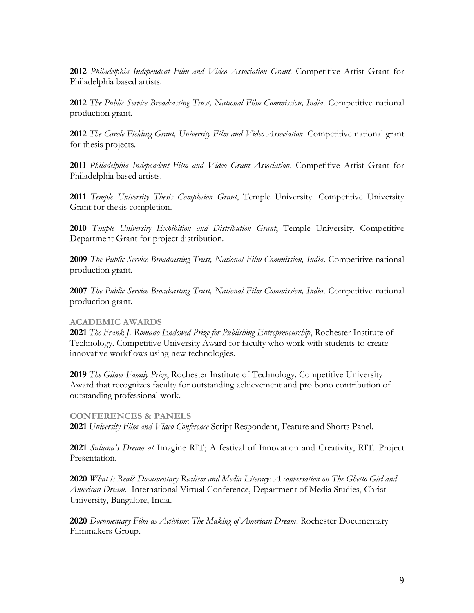**2012** *Philadelphia Independent Film and Video Association Grant.* Competitive Artist Grant for Philadelphia based artists.

**2012** *The Public Service Broadcasting Trust, National Film Commission, India*. Competitive national production grant.

**2012** *The Carole Fielding Grant, University Film and Video Association*. Competitive national grant for thesis projects.

**2011** *Philadelphia Independent Film and Video Grant Association*. Competitive Artist Grant for Philadelphia based artists.

**2011** *Temple University Thesis Completion Grant*, Temple University. Competitive University Grant for thesis completion.

**2010** *Temple University Exhibition and Distribution Grant*, Temple University. Competitive Department Grant for project distribution.

**2009** *The Public Service Broadcasting Trust, National Film Commission, India*. Competitive national production grant.

**2007** *The Public Service Broadcasting Trust, National Film Commission, India*. Competitive national production grant.

## **ACADEMIC AWARDS**

**2021** *The Frank J. Romano Endowed Prize for Publishing Entrepreneurship*, Rochester Institute of Technology. Competitive University Award for faculty who work with students to create innovative workflows using new technologies.

**2019** *The Gitner Family Prize*, Rochester Institute of Technology. Competitive University Award that recognizes faculty for outstanding achievement and pro bono contribution of outstanding professional work.

#### **CONFERENCES & PANELS**

**2021** *University Film and Video Conference* Script Respondent, Feature and Shorts Panel.

**2021** *Sultana's Dream at* Imagine RIT; A festival of Innovation and Creativity, RIT. Project Presentation.

**2020** *What is Real? Documentary Realism and Media Literacy: A conversation on The Ghetto Girl and American Dream.* International Virtual Conference, Department of Media Studies, Christ University, Bangalore, India.

**2020** *Documentary Film as Activism*: *The Making of American Dream*. Rochester Documentary Filmmakers Group.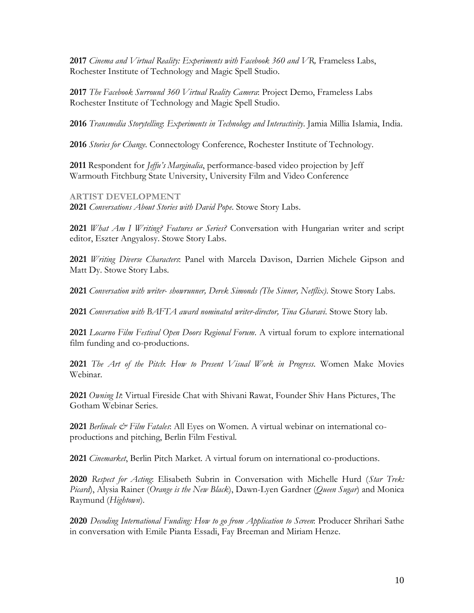**2017** *Cinema and Virtual Reality: Experiments with Facebook 360 and VR,* Frameless Labs, Rochester Institute of Technology and Magic Spell Studio.

**2017** *The Facebook Surround 360 Virtual Reality Camera*: Project Demo, Frameless Labs Rochester Institute of Technology and Magic Spell Studio.

**2016** *Transmedia Storytelling*: *Experiments in Technology and Interactivity*. Jamia Millia Islamia, India.

**2016** *Stories for Change.* Connectology Conference, Rochester Institute of Technology.

**2011** Respondent for *Jeffu's Marginalia*, performance-based video projection by Jeff Warmouth Fitchburg State University, University Film and Video Conference

**ARTIST DEVELOPMENT** 

**2021** *Conversations About Stories with David Pope*. Stowe Story Labs.

**2021** *What Am I Writing? Features or Series?* Conversation with Hungarian writer and script editor, Eszter Angyalosy. Stowe Story Labs.

**2021** *Writing Diverse Characters*: Panel with Marcela Davison, Darrien Michele Gipson and Matt Dy. Stowe Story Labs.

**2021** *Conversation with writer- showrunner, Derek Simonds (The Sinner, Netflix)*. Stowe Story Labs.

**2021** *Conversation with BAFTA award nominated writer-director, Tina Gharavi.* Stowe Story lab.

**2021** *Locarno Film Festival Open Doors Regional Forum*. A virtual forum to explore international film funding and co-productions.

**2021** *The Art of the Pitch*: *How to Present Visual Work in Progress*. Women Make Movies Webinar.

**2021** *Owning It*: Virtual Fireside Chat with Shivani Rawat, Founder Shiv Hans Pictures, The Gotham Webinar Series.

**2021** *Berlinale & Film Fatales*: All Eyes on Women. A virtual webinar on international coproductions and pitching, Berlin Film Festival.

**2021** *Cinemarket*, Berlin Pitch Market. A virtual forum on international co-productions.

**2020** *Respect for Acting*: Elisabeth Subrin in Conversation with Michelle Hurd (*Star Trek: Picard*), Alysia Rainer (*Orange is the New Black*), Dawn-Lyen Gardner (*Queen Sugar*) and Monica Raymund (*Hightown*).

**2020** *Decoding International Funding: How to go from Application to Screen*: Producer Shrihari Sathe in conversation with Emile Pianta Essadi, Fay Breeman and Miriam Henze.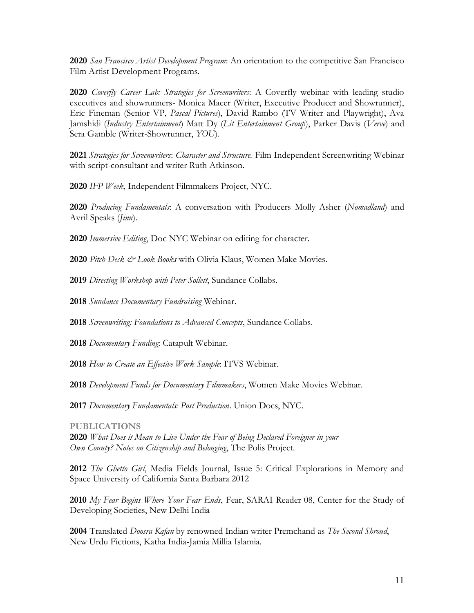*San Francisco Artist Development Program*: An orientation to the competitive San Francisco Film Artist Development Programs.

*Coverfly Career Lab: Strategies for Screenwriters*: A Coverfly webinar with leading studio executives and showrunners- Monica Macer (Writer, Executive Producer and Showrunner), Eric Fineman (Senior VP, *Pascal Pictures*), David Rambo (TV Writer and Playwright), Ava Jamshidi (*Industry Entertainment*) Matt Dy (*Lit Entertainment Group*), Parker Davis (*Verve*) and Sera Gamble (Writer-Showrunner, *YOU*).

 *Strategies for Screenwriters*: *Character and Structure.* Film Independent Screenwriting Webinar with script-consultant and writer Ruth Atkinson.

*IFP Week*, Independent Filmmakers Project, NYC.

 *Producing Fundamentals*: A conversation with Producers Molly Asher (*Nomadland*) and Avril Speaks (*Jinn*).

*Immersive Editing*, Doc NYC Webinar on editing for character.

*Pitch Deck & Look Books* with Olivia Klaus, Women Make Movies.

*Directing Workshop with Peter Sollett*, Sundance Collabs.

*Sundance Documentary Fundraising* Webinar.

*Screenwriting: Foundations to Advanced Concepts*, Sundance Collabs.

*Documentary Funding*: Catapult Webinar.

*How to Create an Effective Work Sample*: ITVS Webinar.

*Development Funds for Documentary Filmmakers*, Women Make Movies Webinar.

*Documentary Fundamentals: Post Production*. Union Docs, NYC.

## **PUBLICATIONS**

 *What Does it Mean to Live Under the Fear of Being Declared Foreigner in your Own County? Notes on Citizenship and Belonging*, The Polis Project.

 *The Ghetto Girl*, Media Fields Journal, Issue 5: Critical Explorations in Memory and Space University of California Santa Barbara 2012

 *My Fear Begins Where Your Fear Ends*, Fear, SARAI Reader 08, Center for the Study of Developing Societies, New Delhi India

 Translated *Doosra Kafan* by renowned Indian writer Premchand as *The Second Shroud*, New Urdu Fictions, Katha India-Jamia Millia Islamia.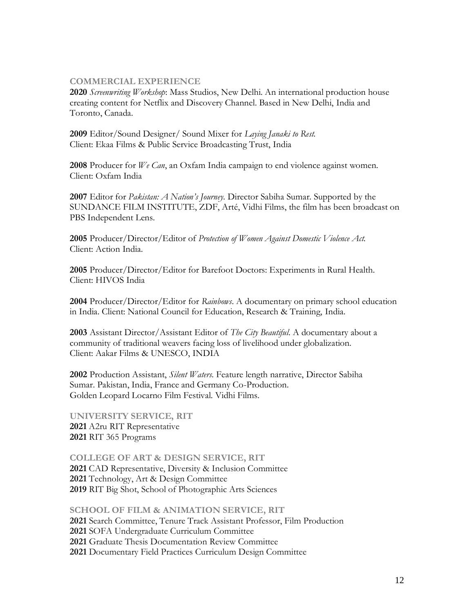## **COMMERCIAL EXPERIENCE**

**2020** *Screenwriting Workshop*: Mass Studios, New Delhi. An international production house creating content for Netflix and Discovery Channel. Based in New Delhi, India and Toronto, Canada.

**2009** Editor/Sound Designer/ Sound Mixer for *Laying Janaki to Rest.*  Client: Ekaa Films & Public Service Broadcasting Trust, India

**2008** Producer for *We Can*, an Oxfam India campaign to end violence against women. Client: Oxfam India

**2007** Editor for *Pakistan: A Nation's Journey*. Director Sabiha Sumar. Supported by the SUNDANCE FILM INSTITUTE, ZDF, Arté, Vidhi Films, the film has been broadcast on PBS Independent Lens.

**2005** Producer/Director/Editor of *Protection of Women Against Domestic Violence Act.* Client: Action India.

**2005** Producer/Director/Editor for Barefoot Doctors: Experiments in Rural Health*.*  Client: HIVOS India

**2004** Producer/Director/Editor for *Rainbows*. A documentary on primary school education in India. Client: National Council for Education, Research & Training, India.

**2003** Assistant Director/Assistant Editor of *The City Beautiful*. A documentary about a community of traditional weavers facing loss of livelihood under globalization. Client: Aakar Films & UNESCO, INDIA

**2002** Production Assistant, *Silent Waters*. Feature length narrative, Director Sabiha Sumar. Pakistan, India, France and Germany Co-Production. Golden Leopard Locarno Film Festival. Vidhi Films.

**UNIVERSITY SERVICE, RIT 2021** A2ru RIT Representative **2021** RIT 365 Programs

**COLLEGE OF ART & DESIGN SERVICE, RIT** CAD Representative, Diversity & Inclusion Committee Technology, Art & Design Committee RIT Big Shot, School of Photographic Arts Sciences

**SCHOOL OF FILM & ANIMATION SERVICE, RIT** Search Committee, Tenure Track Assistant Professor, Film Production SOFA Undergraduate Curriculum Committee Graduate Thesis Documentation Review Committee Documentary Field Practices Curriculum Design Committee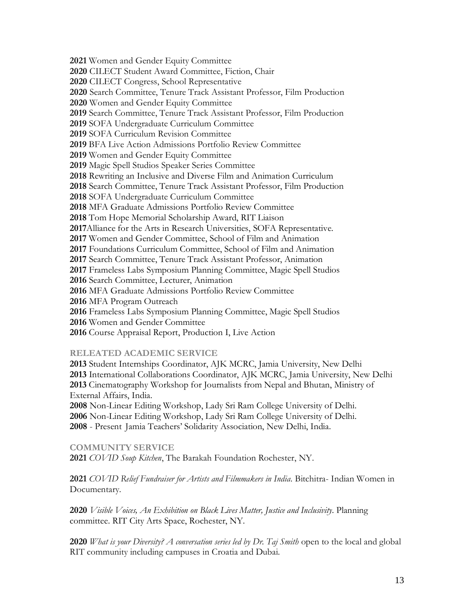Women and Gender Equity Committee CILECT Student Award Committee, Fiction, Chair CILECT Congress, School Representative Search Committee, Tenure Track Assistant Professor, Film Production Women and Gender Equity Committee Search Committee, Tenure Track Assistant Professor, Film Production SOFA Undergraduate Curriculum Committee SOFA Curriculum Revision Committee BFA Live Action Admissions Portfolio Review Committee Women and Gender Equity Committee Magic Spell Studios Speaker Series Committee Rewriting an Inclusive and Diverse Film and Animation Curriculum Search Committee, Tenure Track Assistant Professor, Film Production SOFA Undergraduate Curriculum Committee MFA Graduate Admissions Portfolio Review Committee Tom Hope Memorial Scholarship Award, RIT Liaison Alliance for the Arts in Research Universities, SOFA Representative. Women and Gender Committee, School of Film and Animation Foundations Curriculum Committee, School of Film and Animation Search Committee, Tenure Track Assistant Professor, Animation Frameless Labs Symposium Planning Committee, Magic Spell Studios Search Committee, Lecturer, Animation MFA Graduate Admissions Portfolio Review Committee MFA Program Outreach Frameless Labs Symposium Planning Committee, Magic Spell Studios Women and Gender Committee Course Appraisal Report, Production I, Live Action

## **RELEATED ACADEMIC SERVICE**

Student Internships Coordinator, AJK MCRC, Jamia University, New Delhi International Collaborations Coordinator, AJK MCRC, Jamia University, New Delhi Cinematography Workshop for Journalists from Nepal and Bhutan, Ministry of External Affairs, India.

 Non-Linear Editing Workshop, Lady Sri Ram College University of Delhi. Non-Linear Editing Workshop, Lady Sri Ram College University of Delhi. - Present Jamia Teachers' Solidarity Association, New Delhi, India.

**COMMUNITY SERVICE** *COVID Soup Kitchen*, The Barakah Foundation Rochester, NY.

 *COVID Relief Fundraiser for Artists and Filmmakers in India*. Bitchitra- Indian Women in Documentary.

 *Visible Voices, An Exhibition on Black Lives Matter, Justice and Inclusivity*. Planning committee. RIT City Arts Space, Rochester, NY.

 *What is your Diversity? A conversation series led by Dr. Taj Smith* open to the local and global RIT community including campuses in Croatia and Dubai.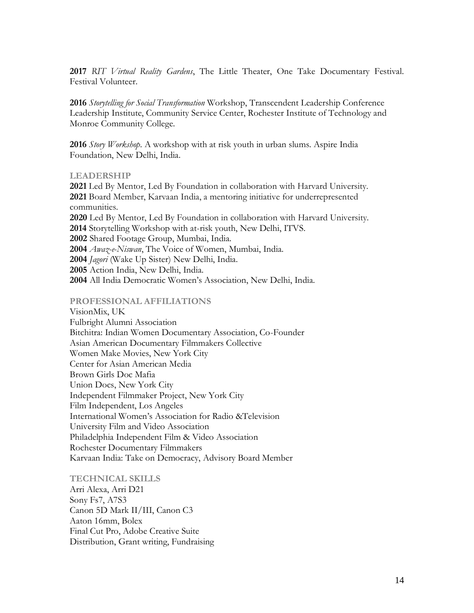**2017** *RIT Virtual Reality Gardens*, The Little Theater, One Take Documentary Festival. Festival Volunteer.

**2016** *Storytelling for Social Transformation* Workshop, Transcendent Leadership Conference Leadership Institute, Community Service Center, Rochester Institute of Technology and Monroe Community College.

**2016** *Story Workshop*. A workshop with at risk youth in urban slums. Aspire India Foundation, New Delhi, India.

#### **LEADERSHIP**

 Led By Mentor, Led By Foundation in collaboration with Harvard University. Board Member, Karvaan India, a mentoring initiative for underrepresented communities. Led By Mentor, Led By Foundation in collaboration with Harvard University. Storytelling Workshop with at-risk youth, New Delhi, ITVS. Shared Footage Group, Mumbai, India. *Awaz-e-Niswan*, The Voice of Women, Mumbai, India. *Jagori* (Wake Up Sister) New Delhi, India. Action India, New Delhi, India. All India Democratic Women's Association, New Delhi, India.

#### **PROFESSIONAL AFFILIATIONS**

VisionMix, UK Fulbright Alumni Association Bitchitra: Indian Women Documentary Association, Co-Founder Asian American Documentary Filmmakers Collective Women Make Movies, New York City Center for Asian American Media Brown Girls Doc Mafia Union Docs, New York City Independent Filmmaker Project, New York City Film Independent, Los Angeles International Women's Association for Radio &Television University Film and Video Association Philadelphia Independent Film & Video Association Rochester Documentary Filmmakers Karvaan India: Take on Democracy, Advisory Board Member

#### **TECHNICAL SKILLS**

Arri Alexa, Arri D21 Sony Fs7, A7S3 Canon 5D Mark II/III, Canon C3 Aaton 16mm, Bolex Final Cut Pro, Adobe Creative Suite Distribution, Grant writing, Fundraising